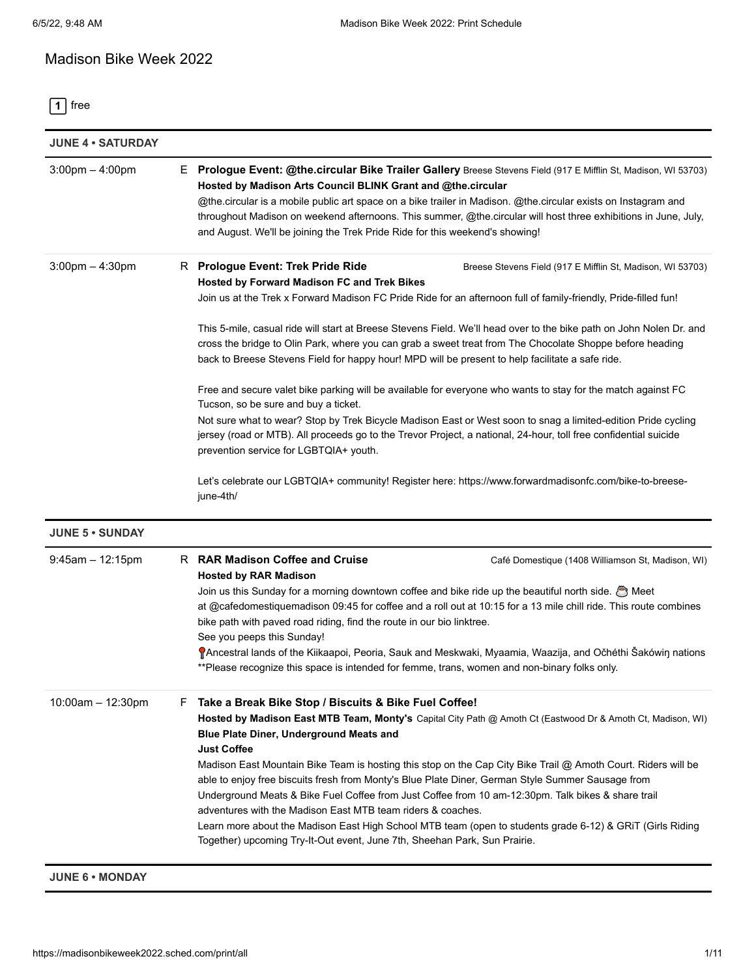# Madison Bike Week 2022

**1** [free](https://madisonbikeweek2022.sched.com/type/free/print/all)

| <b>JUNE 4 • SATURDAY</b> |   |                                                                                                                                                                                                                                                                                                                                                                                                                                                                                                                                                                                                                                                                                                                                                                                                                            |
|--------------------------|---|----------------------------------------------------------------------------------------------------------------------------------------------------------------------------------------------------------------------------------------------------------------------------------------------------------------------------------------------------------------------------------------------------------------------------------------------------------------------------------------------------------------------------------------------------------------------------------------------------------------------------------------------------------------------------------------------------------------------------------------------------------------------------------------------------------------------------|
| $3:00$ pm $-4:00$ pm     |   | E Prologue Event: @the.circular Bike Trailer Gallery Breese Stevens Field (917 E Mifflin St, Madison, WI 53703)<br>Hosted by Madison Arts Council BLINK Grant and @the.circular<br>@the.circular is a mobile public art space on a bike trailer in Madison. @the.circular exists on Instagram and<br>throughout Madison on weekend afternoons. This summer, @the.circular will host three exhibitions in June, July,<br>and August. We'll be joining the Trek Pride Ride for this weekend's showing!                                                                                                                                                                                                                                                                                                                       |
| $3:00$ pm $-4:30$ pm     |   | R Prologue Event: Trek Pride Ride<br>Breese Stevens Field (917 E Mifflin St, Madison, WI 53703)<br>Hosted by Forward Madison FC and Trek Bikes<br>Join us at the Trek x Forward Madison FC Pride Ride for an afternoon full of family-friendly, Pride-filled fun!<br>This 5-mile, casual ride will start at Breese Stevens Field. We'll head over to the bike path on John Nolen Dr. and                                                                                                                                                                                                                                                                                                                                                                                                                                   |
|                          |   | cross the bridge to Olin Park, where you can grab a sweet treat from The Chocolate Shoppe before heading<br>back to Breese Stevens Field for happy hour! MPD will be present to help facilitate a safe ride.                                                                                                                                                                                                                                                                                                                                                                                                                                                                                                                                                                                                               |
|                          |   | Free and secure valet bike parking will be available for everyone who wants to stay for the match against FC<br>Tucson, so be sure and buy a ticket.<br>Not sure what to wear? Stop by Trek Bicycle Madison East or West soon to snag a limited-edition Pride cycling<br>jersey (road or MTB). All proceeds go to the Trevor Project, a national, 24-hour, toll free confidential suicide                                                                                                                                                                                                                                                                                                                                                                                                                                  |
|                          |   | prevention service for LGBTQIA+ youth.<br>Let's celebrate our LGBTQIA+ community! Register here: https://www.forwardmadisonfc.com/bike-to-breese-<br>june-4th/                                                                                                                                                                                                                                                                                                                                                                                                                                                                                                                                                                                                                                                             |
| <b>JUNE 5 . SUNDAY</b>   |   |                                                                                                                                                                                                                                                                                                                                                                                                                                                                                                                                                                                                                                                                                                                                                                                                                            |
| $9:45$ am $-12:15$ pm    |   | R RAR Madison Coffee and Cruise<br>Café Domestique (1408 Williamson St, Madison, WI)<br><b>Hosted by RAR Madison</b><br>Join us this Sunday for a morning downtown coffee and bike ride up the beautiful north side. $\bigcirc$ Meet<br>at @cafedomestiquemadison 09:45 for coffee and a roll out at 10:15 for a 13 mile chill ride. This route combines<br>bike path with paved road riding, find the route in our bio linktree.<br>See you peeps this Sunday!<br>PAncestral lands of the Kiikaapoi, Peoria, Sauk and Meskwaki, Myaamia, Waazija, and Očhéthi Sakówiŋ nations<br>**Please recognize this space is intended for femme, trans, women and non-binary folks only.                                                                                                                                             |
| $10:00$ am $- 12:30$ pm  | F | Take a Break Bike Stop / Biscuits & Bike Fuel Coffee!<br>Hosted by Madison East MTB Team, Monty's Capital City Path @ Amoth Ct (Eastwood Dr & Amoth Ct, Madison, WI)<br>Blue Plate Diner, Underground Meats and<br><b>Just Coffee</b><br>Madison East Mountain Bike Team is hosting this stop on the Cap City Bike Trail @ Amoth Court. Riders will be<br>able to enjoy free biscuits fresh from Monty's Blue Plate Diner, German Style Summer Sausage from<br>Underground Meats & Bike Fuel Coffee from Just Coffee from 10 am-12:30pm. Talk bikes & share trail<br>adventures with the Madison East MTB team riders & coaches.<br>Learn more about the Madison East High School MTB team (open to students grade 6-12) & GRIT (Girls Riding<br>Together) upcoming Try-It-Out event, June 7th, Sheehan Park, Sun Prairie. |

**JUNE 6 • MONDAY**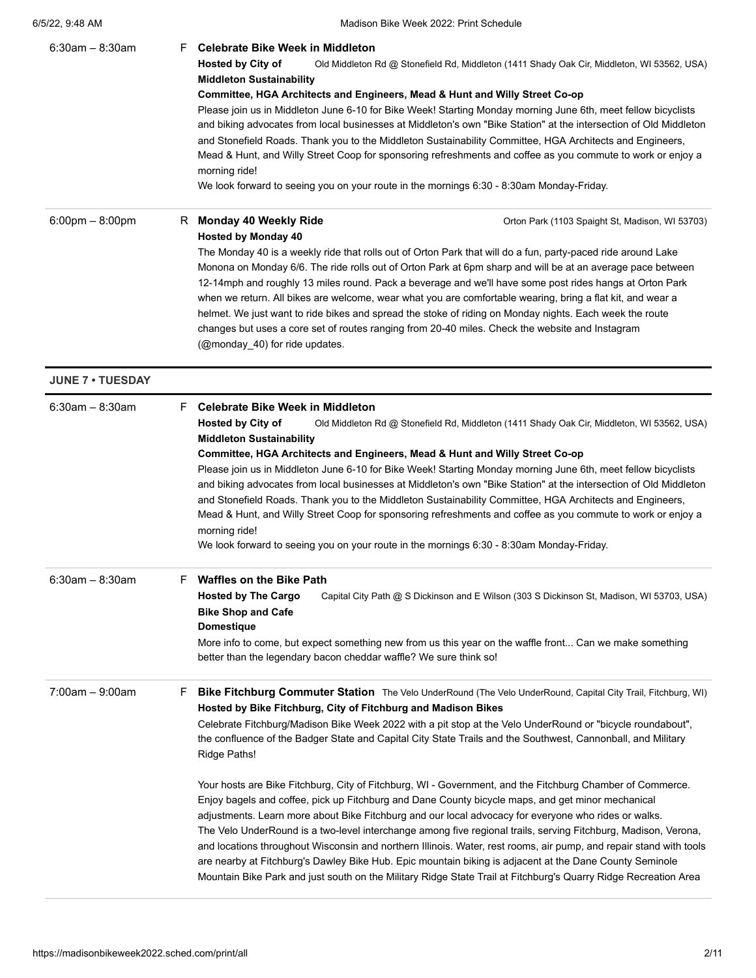| 6/5/22, 9:48 AM |  |
|-----------------|--|
|                 |  |

| $6:30$ am - 8:30am                | F. | <b>Celebrate Bike Week in Middleton</b><br><b>Hosted by City of</b><br>Old Middleton Rd @ Stonefield Rd, Middleton (1411 Shady Oak Cir, Middleton, WI 53562, USA)<br><b>Middleton Sustainability</b><br>Committee, HGA Architects and Engineers, Mead & Hunt and Willy Street Co-op<br>Please join us in Middleton June 6-10 for Bike Week! Starting Monday morning June 6th, meet fellow bicyclists<br>and biking advocates from local businesses at Middleton's own "Bike Station" at the intersection of Old Middleton<br>and Stonefield Roads. Thank you to the Middleton Sustainability Committee, HGA Architects and Engineers,<br>Mead & Hunt, and Willy Street Coop for sponsoring refreshments and coffee as you commute to work or enjoy a<br>morning ride!<br>We look forward to seeing you on your route in the mornings 6:30 - 8:30am Monday-Friday. |
|-----------------------------------|----|-------------------------------------------------------------------------------------------------------------------------------------------------------------------------------------------------------------------------------------------------------------------------------------------------------------------------------------------------------------------------------------------------------------------------------------------------------------------------------------------------------------------------------------------------------------------------------------------------------------------------------------------------------------------------------------------------------------------------------------------------------------------------------------------------------------------------------------------------------------------|
| $6:00 \text{pm} - 8:00 \text{pm}$ | R. | <b>Monday 40 Weekly Ride</b><br>Orton Park (1103 Spaight St, Madison, WI 53703)<br><b>Hosted by Monday 40</b><br>The Monday 40 is a weekly ride that rolls out of Orton Park that will do a fun, party-paced ride around Lake<br>Monona on Monday 6/6. The ride rolls out of Orton Park at 6pm sharp and will be at an average pace between<br>12-14mph and roughly 13 miles round. Pack a beverage and we'll have some post rides hangs at Orton Park<br>when we return. All bikes are welcome, wear what you are comfortable wearing, bring a flat kit, and wear a<br>helmet. We just want to ride bikes and spread the stoke of riding on Monday nights. Each week the route<br>changes but uses a core set of routes ranging from 20-40 miles. Check the website and Instagram<br>(@monday 40) for ride updates.                                              |
| <b>JUNE 7 . TUESDAY</b>           |    |                                                                                                                                                                                                                                                                                                                                                                                                                                                                                                                                                                                                                                                                                                                                                                                                                                                                   |
| $6:30$ am - 8:30am                | F. | Celebrate Bike Week in Middleton<br><b>Hosted by City of</b><br>Old Middleton Rd @ Stonefield Rd, Middleton (1411 Shady Oak Cir, Middleton, WI 53562, USA)<br><b>Middleton Sustainability</b><br>Committee, HGA Architects and Engineers, Mead & Hunt and Willy Street Co-op<br>Please join us in Middleton June 6-10 for Bike Week! Starting Monday morning June 6th, meet fellow bicyclists<br>and biking advocates from local businesses at Middleton's own "Bike Station" at the intersection of Old Middleton<br>and Stonefield Roads. Thank you to the Middleton Sustainability Committee, HGA Architects and Engineers,                                                                                                                                                                                                                                    |

Mead & Hunt, and Willy Street Coop for sponsoring refreshments and coffee as you commute to work or enjoy a morning ride!

We look forward to seeing you on your route in the mornings 6:30 - 8:30am Monday-Friday.

| $6:30$ am – 8:30am   | <b>Waffles on the Bike Path</b><br>F<br><b>Hosted by The Cargo</b><br>Capital City Path @ S Dickinson and E Wilson (303 S Dickinson St, Madison, WI 53703, USA)<br><b>Bike Shop and Cafe</b><br>Domestique<br>More info to come, but expect something new from us this year on the waffle front Can we make something<br>better than the legendary bacon cheddar waffle? We sure think so!                                                                                                                                                                                                                                                                                                                                                                                                   |
|----------------------|----------------------------------------------------------------------------------------------------------------------------------------------------------------------------------------------------------------------------------------------------------------------------------------------------------------------------------------------------------------------------------------------------------------------------------------------------------------------------------------------------------------------------------------------------------------------------------------------------------------------------------------------------------------------------------------------------------------------------------------------------------------------------------------------|
| $7:00$ am $-9:00$ am | F<br><b>Bike Fitchburg Commuter Station</b> The Velo UnderRound (The Velo UnderRound, Capital City Trail, Fitchburg, WI)<br>Hosted by Bike Fitchburg, City of Fitchburg and Madison Bikes<br>Celebrate Fitchburg/Madison Bike Week 2022 with a pit stop at the Velo UnderRound or "bicycle roundabout",<br>the confluence of the Badger State and Capital City State Trails and the Southwest, Cannonball, and Military<br>Ridge Paths!                                                                                                                                                                                                                                                                                                                                                      |
|                      | Your hosts are Bike Fitchburg, City of Fitchburg, WI - Government, and the Fitchburg Chamber of Commerce.<br>Enjoy bagels and coffee, pick up Fitchburg and Dane County bicycle maps, and get minor mechanical<br>adjustments. Learn more about Bike Fitchburg and our local advocacy for everyone who rides or walks.<br>The Velo UnderRound is a two-level interchange among five regional trails, serving Fitchburg, Madison, Verona,<br>and locations throughout Wisconsin and northern Illinois. Water, rest rooms, air pump, and repair stand with tools<br>are nearby at Fitchburg's Dawley Bike Hub. Epic mountain biking is adjacent at the Dane County Seminole<br>Mountain Bike Park and just south on the Military Ridge State Trail at Fitchburg's Quarry Ridge Recreation Area |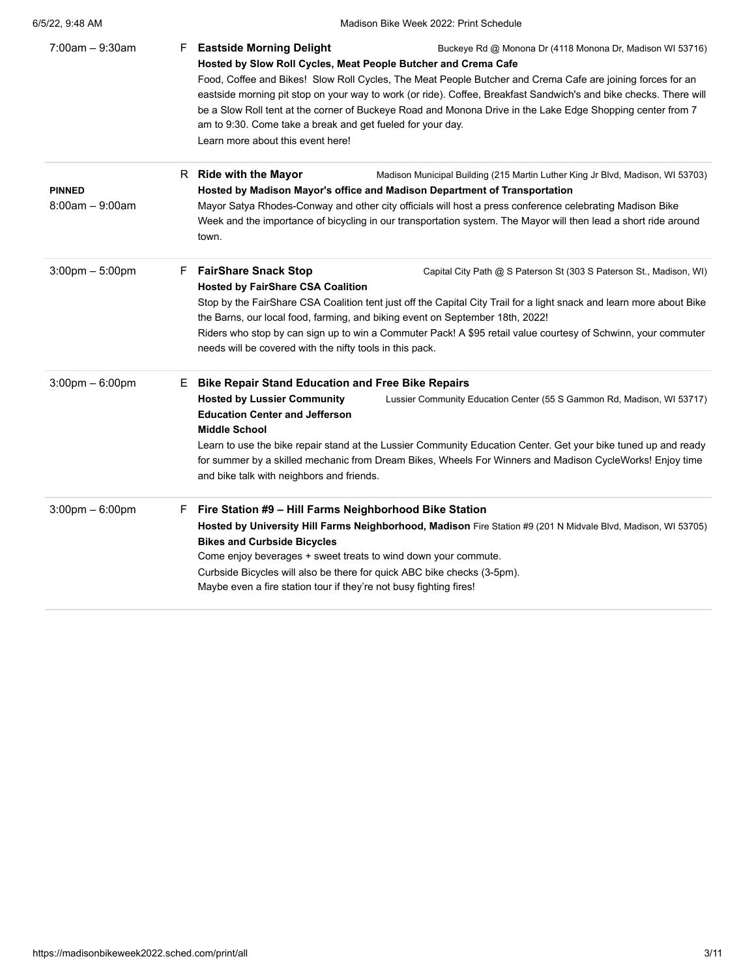| $7:00am - 9:30am$                 | <b>Eastside Morning Delight</b><br>F<br>Buckeye Rd @ Monona Dr (4118 Monona Dr, Madison WI 53716)<br>Hosted by Slow Roll Cycles, Meat People Butcher and Crema Cafe<br>Food, Coffee and Bikes! Slow Roll Cycles, The Meat People Butcher and Crema Cafe are joining forces for an<br>eastside morning pit stop on your way to work (or ride). Coffee, Breakfast Sandwich's and bike checks. There will<br>be a Slow Roll tent at the corner of Buckeye Road and Monona Drive in the Lake Edge Shopping center from 7<br>am to 9:30. Come take a break and get fueled for your day.<br>Learn more about this event here! |
|-----------------------------------|-------------------------------------------------------------------------------------------------------------------------------------------------------------------------------------------------------------------------------------------------------------------------------------------------------------------------------------------------------------------------------------------------------------------------------------------------------------------------------------------------------------------------------------------------------------------------------------------------------------------------|
| <b>PINNED</b>                     | R Ride with the Mayor<br>Madison Municipal Building (215 Martin Luther King Jr Blvd, Madison, WI 53703)<br>Hosted by Madison Mayor's office and Madison Department of Transportation                                                                                                                                                                                                                                                                                                                                                                                                                                    |
| $8:00$ am $-9:00$ am              | Mayor Satya Rhodes-Conway and other city officials will host a press conference celebrating Madison Bike<br>Week and the importance of bicycling in our transportation system. The Mayor will then lead a short ride around<br>town.                                                                                                                                                                                                                                                                                                                                                                                    |
| $3:00 \text{pm} - 5:00 \text{pm}$ | <b>FairShare Snack Stop</b><br>F.<br>Capital City Path @ S Paterson St (303 S Paterson St., Madison, WI)<br><b>Hosted by FairShare CSA Coalition</b><br>Stop by the FairShare CSA Coalition tent just off the Capital City Trail for a light snack and learn more about Bike                                                                                                                                                                                                                                                                                                                                            |
|                                   | the Barns, our local food, farming, and biking event on September 18th, 2022!<br>Riders who stop by can sign up to win a Commuter Pack! A \$95 retail value courtesy of Schwinn, your commuter<br>needs will be covered with the nifty tools in this pack.                                                                                                                                                                                                                                                                                                                                                              |
| $3:00 \text{pm} - 6:00 \text{pm}$ | <b>Bike Repair Stand Education and Free Bike Repairs</b><br>Е.                                                                                                                                                                                                                                                                                                                                                                                                                                                                                                                                                          |
|                                   | <b>Hosted by Lussier Community</b><br>Lussier Community Education Center (55 S Gammon Rd, Madison, WI 53717)<br><b>Education Center and Jefferson</b><br><b>Middle School</b>                                                                                                                                                                                                                                                                                                                                                                                                                                           |
|                                   | Learn to use the bike repair stand at the Lussier Community Education Center. Get your bike tuned up and ready<br>for summer by a skilled mechanic from Dream Bikes, Wheels For Winners and Madison CycleWorks! Enjoy time<br>and bike talk with neighbors and friends.                                                                                                                                                                                                                                                                                                                                                 |
| $3:00 \text{pm} - 6:00 \text{pm}$ | Fire Station #9 - Hill Farms Neighborhood Bike Station<br>F.<br>Hosted by University Hill Farms Neighborhood, Madison Fire Station #9 (201 N Midvale Blvd, Madison, WI 53705)<br><b>Bikes and Curbside Bicycles</b><br>Come enjoy beverages + sweet treats to wind down your commute.<br>Curbside Bicycles will also be there for quick ABC bike checks (3-5pm).<br>Maybe even a fire station tour if they're not busy fighting fires!                                                                                                                                                                                  |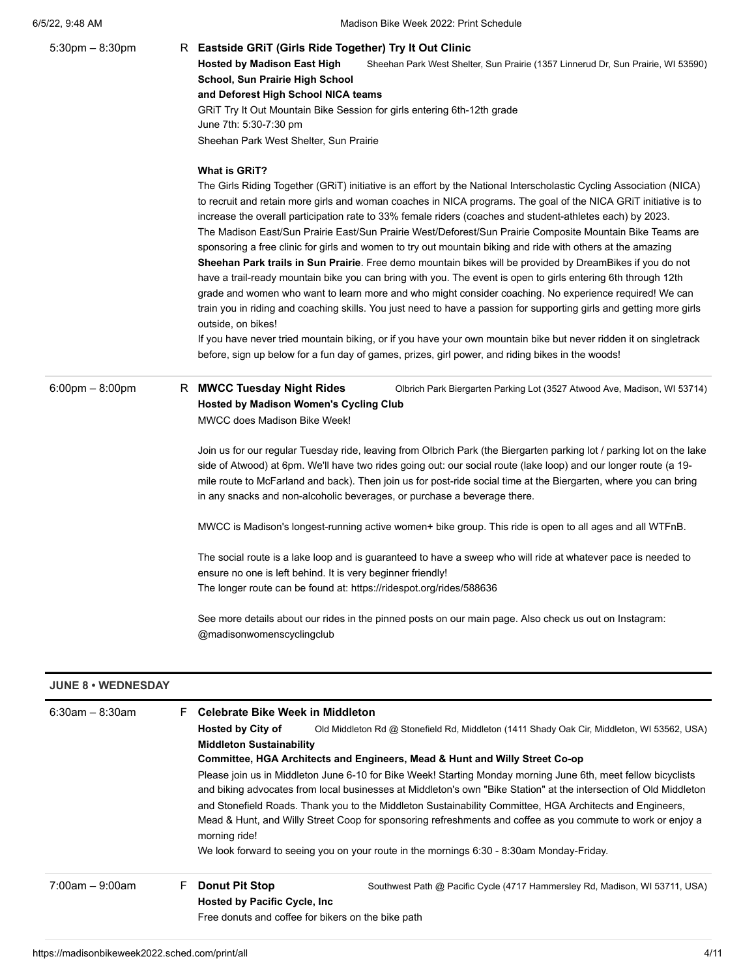| $5:30$ pm $- 8:30$ pm             | R Eastside GRIT (Girls Ride Together) Try It Out Clinic                                                                                                                                                                  |  |  |
|-----------------------------------|--------------------------------------------------------------------------------------------------------------------------------------------------------------------------------------------------------------------------|--|--|
|                                   | <b>Hosted by Madison East High</b><br>Sheehan Park West Shelter, Sun Prairie (1357 Linnerud Dr, Sun Prairie, WI 53590)                                                                                                   |  |  |
|                                   | School, Sun Prairie High School                                                                                                                                                                                          |  |  |
|                                   | and Deforest High School NICA teams<br>GRIT Try It Out Mountain Bike Session for girls entering 6th-12th grade                                                                                                           |  |  |
|                                   | June 7th: 5:30-7:30 pm                                                                                                                                                                                                   |  |  |
|                                   | Sheehan Park West Shelter, Sun Prairie                                                                                                                                                                                   |  |  |
|                                   |                                                                                                                                                                                                                          |  |  |
|                                   | <b>What is GRIT?</b>                                                                                                                                                                                                     |  |  |
|                                   | The Girls Riding Together (GRiT) initiative is an effort by the National Interscholastic Cycling Association (NICA)                                                                                                      |  |  |
|                                   | to recruit and retain more girls and woman coaches in NICA programs. The goal of the NICA GRIT initiative is to                                                                                                          |  |  |
|                                   | increase the overall participation rate to 33% female riders (coaches and student-athletes each) by 2023.                                                                                                                |  |  |
|                                   | The Madison East/Sun Prairie East/Sun Prairie West/Deforest/Sun Prairie Composite Mountain Bike Teams are                                                                                                                |  |  |
|                                   | sponsoring a free clinic for girls and women to try out mountain biking and ride with others at the amazing<br>Sheehan Park trails in Sun Prairie. Free demo mountain bikes will be provided by DreamBikes if you do not |  |  |
|                                   | have a trail-ready mountain bike you can bring with you. The event is open to girls entering 6th through 12th                                                                                                            |  |  |
|                                   | grade and women who want to learn more and who might consider coaching. No experience required! We can                                                                                                                   |  |  |
|                                   | train you in riding and coaching skills. You just need to have a passion for supporting girls and getting more girls                                                                                                     |  |  |
|                                   | outside, on bikes!                                                                                                                                                                                                       |  |  |
|                                   | If you have never tried mountain biking, or if you have your own mountain bike but never ridden it on singletrack                                                                                                        |  |  |
|                                   | before, sign up below for a fun day of games, prizes, girl power, and riding bikes in the woods!                                                                                                                         |  |  |
| $6:00 \text{pm} - 8:00 \text{pm}$ | R MWCC Tuesday Night Rides<br>Olbrich Park Biergarten Parking Lot (3527 Atwood Ave, Madison, WI 53714)                                                                                                                   |  |  |
|                                   | <b>Hosted by Madison Women's Cycling Club</b>                                                                                                                                                                            |  |  |
|                                   | <b>MWCC does Madison Bike Week!</b>                                                                                                                                                                                      |  |  |
|                                   |                                                                                                                                                                                                                          |  |  |
|                                   | Join us for our regular Tuesday ride, leaving from Olbrich Park (the Biergarten parking lot / parking lot on the lake                                                                                                    |  |  |
|                                   | side of Atwood) at 6pm. We'll have two rides going out: our social route (lake loop) and our longer route (a 19-                                                                                                         |  |  |
|                                   | mile route to McFarland and back). Then join us for post-ride social time at the Biergarten, where you can bring                                                                                                         |  |  |
|                                   | in any snacks and non-alcoholic beverages, or purchase a beverage there.                                                                                                                                                 |  |  |
|                                   | MWCC is Madison's longest-running active women+ bike group. This ride is open to all ages and all WTFnB.                                                                                                                 |  |  |
|                                   | The social route is a lake loop and is guaranteed to have a sweep who will ride at whatever pace is needed to                                                                                                            |  |  |
|                                   | ensure no one is left behind. It is very beginner friendly!                                                                                                                                                              |  |  |
|                                   | The longer route can be found at: https://ridespot.org/rides/588636                                                                                                                                                      |  |  |
|                                   |                                                                                                                                                                                                                          |  |  |
|                                   |                                                                                                                                                                                                                          |  |  |
|                                   | See more details about our rides in the pinned posts on our main page. Also check us out on Instagram:                                                                                                                   |  |  |

# **JUNE 8 • WEDNESDAY**

| $6:30$ am – 8:30am   | F. | <b>Celebrate Bike Week in Middleton</b> |                                                                                                                                                                                                                                                                                                                                                                                                                                                                                                                                                           |  |
|----------------------|----|-----------------------------------------|-----------------------------------------------------------------------------------------------------------------------------------------------------------------------------------------------------------------------------------------------------------------------------------------------------------------------------------------------------------------------------------------------------------------------------------------------------------------------------------------------------------------------------------------------------------|--|
|                      |    | <b>Hosted by City of</b>                | Old Middleton Rd @ Stonefield Rd, Middleton (1411 Shady Oak Cir, Middleton, WI 53562, USA)                                                                                                                                                                                                                                                                                                                                                                                                                                                                |  |
|                      |    | <b>Middleton Sustainability</b>         |                                                                                                                                                                                                                                                                                                                                                                                                                                                                                                                                                           |  |
|                      |    |                                         | Committee, HGA Architects and Engineers, Mead & Hunt and Willy Street Co-op                                                                                                                                                                                                                                                                                                                                                                                                                                                                               |  |
|                      |    | morning ride!                           | Please join us in Middleton June 6-10 for Bike Week! Starting Monday morning June 6th, meet fellow bicyclists<br>and biking advocates from local businesses at Middleton's own "Bike Station" at the intersection of Old Middleton<br>and Stonefield Roads. Thank you to the Middleton Sustainability Committee, HGA Architects and Engineers,<br>Mead & Hunt, and Willy Street Coop for sponsoring refreshments and coffee as you commute to work or enjoy a<br>We look forward to seeing you on your route in the mornings 6:30 - 8:30am Monday-Friday. |  |
| $7:00$ am $-9:00$ am | F  | <b>Donut Pit Stop</b>                   | Southwest Path @ Pacific Cycle (4717 Hammersley Rd, Madison, WI 53711, USA)                                                                                                                                                                                                                                                                                                                                                                                                                                                                               |  |
|                      |    | <b>Hosted by Pacific Cycle, Inc.</b>    |                                                                                                                                                                                                                                                                                                                                                                                                                                                                                                                                                           |  |
|                      |    |                                         |                                                                                                                                                                                                                                                                                                                                                                                                                                                                                                                                                           |  |
|                      |    |                                         | Free donuts and coffee for bikers on the bike path                                                                                                                                                                                                                                                                                                                                                                                                                                                                                                        |  |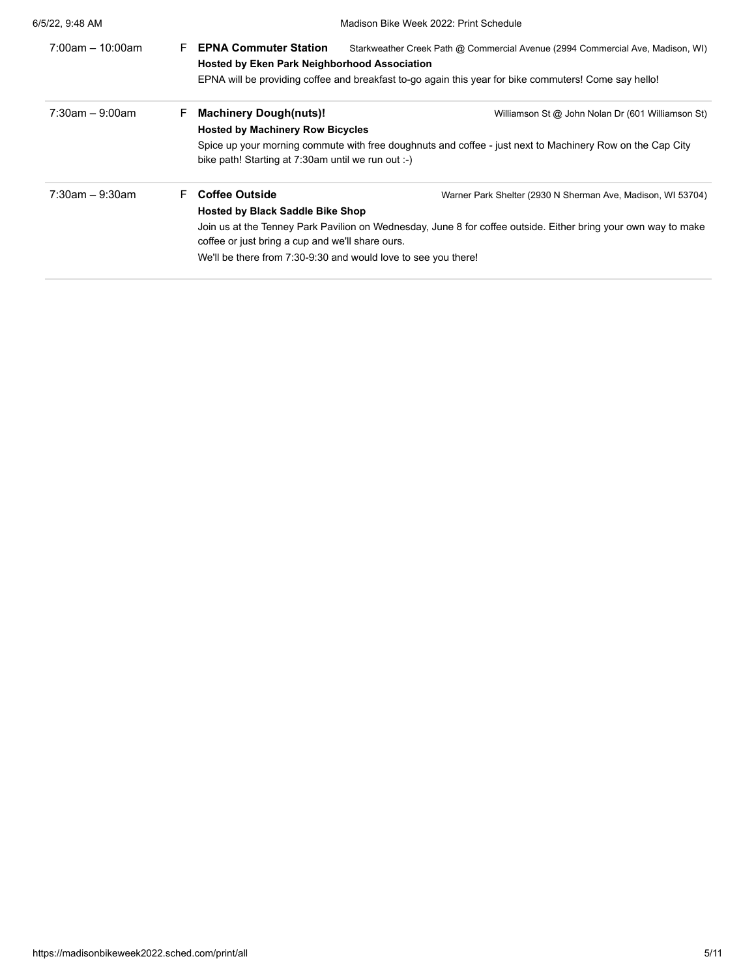| 6/5/22, 9:48 AM     |                                                                                                                                                                                              | Madison Bike Week 2022: Print Schedule                                                                                                                                                  |  |
|---------------------|----------------------------------------------------------------------------------------------------------------------------------------------------------------------------------------------|-----------------------------------------------------------------------------------------------------------------------------------------------------------------------------------------|--|
| $7:00$ am - 10:00am | <b>EPNA Commuter Station</b><br>F.<br><b>Hosted by Eken Park Neighborhood Association</b>                                                                                                    | Starkweather Creek Path @ Commercial Avenue (2994 Commercial Ave, Madison, WI)<br>EPNA will be providing coffee and breakfast to-go again this year for bike commuters! Come say hello! |  |
| $7:30$ am – 9:00am  | <b>Machinery Dough(nuts)!</b><br>F.<br><b>Hosted by Machinery Row Bicycles</b><br>bike path! Starting at 7:30am until we run out :-)                                                         | Williamson St @ John Nolan Dr (601 Williamson St)<br>Spice up your morning commute with free doughnuts and coffee - just next to Machinery Row on the Cap City                          |  |
| $7:30$ am - 9:30am  | <b>Coffee Outside</b><br>F.<br><b>Hosted by Black Saddle Bike Shop</b><br>coffee or just bring a cup and we'll share ours.<br>We'll be there from 7:30-9:30 and would love to see you there! | Warner Park Shelter (2930 N Sherman Ave, Madison, WI 53704)<br>Join us at the Tenney Park Pavilion on Wednesday, June 8 for coffee outside. Either bring your own way to make           |  |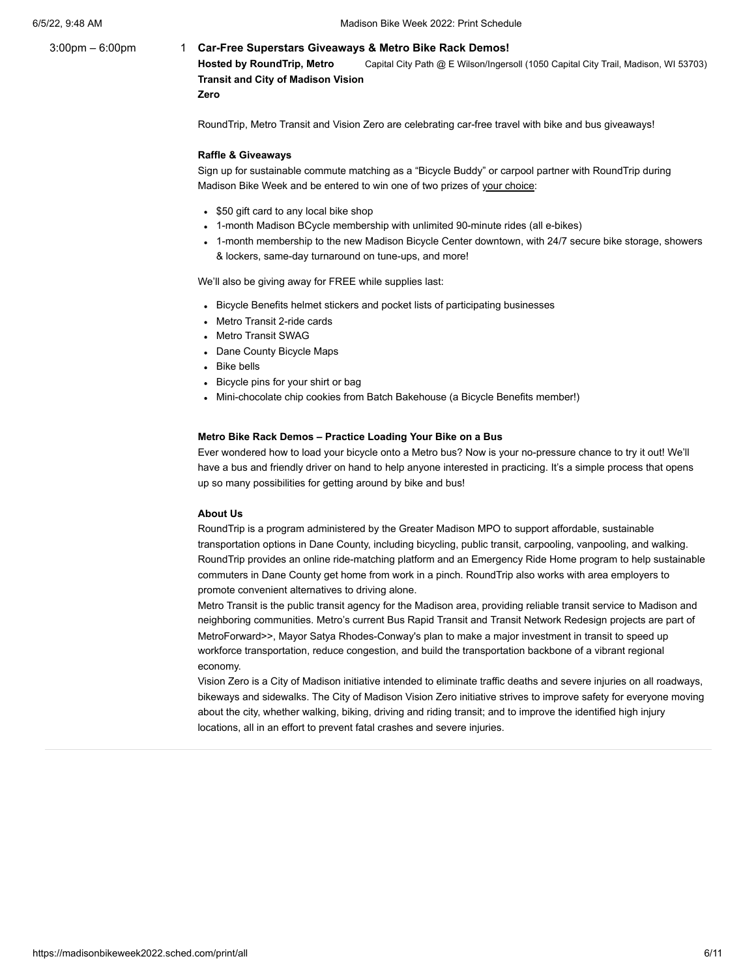# 3:00pm – 6:00pm 1 **[Car-Free Superstars Giveaways & Metro Bike Rack Demos!](https://madisonbikeweek2022.sched.com/event/a9e2a503182c58ef8d2c5bd9d0e33c87)**

Capital City Path @ E Wilson/Ingersoll (1050 Capital City Trail, Madison, WI 53703) **[Hosted by RoundTrip, Metro](https://www.cityofmadison.com/metro) [Transit and City of Madison Vision](https://www.cityofmadison.com/transportation/initiatives/vision-zero)**

**Zero**

RoundTrip, Metro Transit and Vision Zero are celebrating car-free travel with bike and bus giveaways!

#### **Raffle & Giveaways**

Sign up for sustainable commute matching as a "Bicycle Buddy" or carpool partner with [RoundTrip](https://www.roundtripgreatermadison.org/rp2/Home/Home) during Madison Bike Week and be entered to win one of two prizes of your choice:

- \$50 gift card to any local bike shop
- 1-month Madison BCycle membership with unlimited 90-minute rides (all e-bikes)
- 1-month membership to the new [Madison Bicycle Center](https://madisonbikecenter.org/) downtown, with 24/7 secure bike storage, showers & lockers, same-day turnaround on tune-ups, and more!

We'll also be giving away for FREE while supplies last:

- Bicycle Benefits helmet stickers and pocket lists of participating businesses
- Metro Transit 2-ride cards
- Metro Transit SWAG
- Dane County Bicycle Maps
- Bike bells
- Bicycle pins for your shirt or bag
- Mini-chocolate chip cookies from Batch Bakehouse (a Bicycle Benefits member!)

# **Metro Bike Rack Demos – Practice Loading Your Bike on a Bus**

Ever wondered how to load your bicycle onto a Metro bus? Now is your no-pressure chance to try it out! We'll have a bus and friendly driver on hand to help anyone interested in practicing. It's a simple process that opens up so many possibilities for getting around by bike and bus!

# **About Us**

[RoundTrip](https://www.roundtripgreatermadison.org/rp2/Home/Home) is a program administered by the [Greater Madison MPO](https://www.greatermadisonmpo.org/) to support affordable, sustainable transportation options in Dane County, including bicycling, public transit, carpooling, vanpooling, and walking. RoundTrip provides an online ride-matching platform and an Emergency Ride Home program to help sustainable commuters in Dane County get home from work in a pinch. RoundTrip also works with area employers to promote convenient alternatives to driving alone.

[Metro Transit](https://www.cityofmadison.com/metro) is the public transit agency for the Madison area, providing reliable transit service to Madison and neighboring communities. Metro's current Bus Rapid Transit and Transit Network Redesign projects are part of [MetroForward>>](https://www.cityofmadison.com/transportation/initiatives/metroforward), Mayor Satya Rhodes-Conway's plan to make a major investment in transit to speed up workforce transportation, reduce congestion, and build the transportation backbone of a vibrant regional economy.

[Vision Zero](https://www.cityofmadison.com/transportation/initiatives/vision-zero) is a City of Madison initiative intended to eliminate traffic deaths and severe injuries on all roadways, bikeways and sidewalks. The City of Madison Vision Zero initiative strives to improve safety for everyone moving about the city, whether walking, biking, driving and riding transit; and to improve the identified high injury locations, all in an effort to prevent fatal crashes and severe injuries.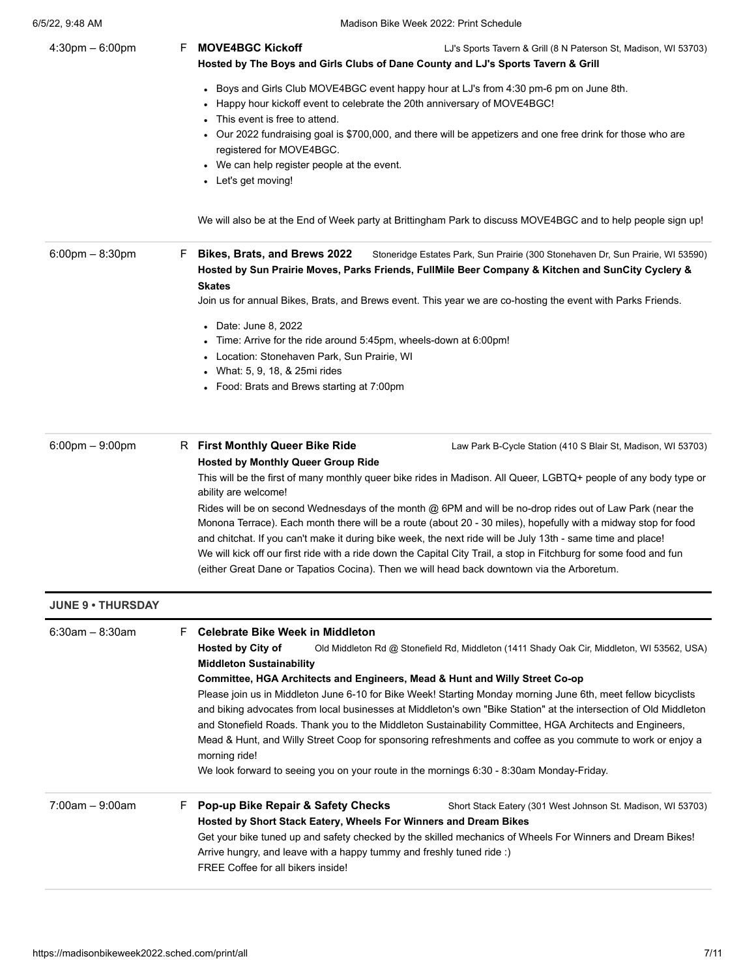| F. | <b>MOVE4BGC Kickoff</b><br>LJ's Sports Tavern & Grill (8 N Paterson St, Madison, WI 53703)<br>Hosted by The Boys and Girls Clubs of Dane County and LJ's Sports Tavern & Grill                                                                                                                                                                                                                                                                                                 |
|----|--------------------------------------------------------------------------------------------------------------------------------------------------------------------------------------------------------------------------------------------------------------------------------------------------------------------------------------------------------------------------------------------------------------------------------------------------------------------------------|
|    | • Boys and Girls Club MOVE4BGC event happy hour at LJ's from 4:30 pm-6 pm on June 8th.<br>• Happy hour kickoff event to celebrate the 20th anniversary of MOVE4BGC!<br>• This event is free to attend.<br>• Our 2022 fundraising goal is \$700,000, and there will be appetizers and one free drink for those who are<br>registered for MOVE4BGC.                                                                                                                              |
|    | • We can help register people at the event.<br>• Let's get moving!                                                                                                                                                                                                                                                                                                                                                                                                             |
|    | We will also be at the End of Week party at Brittingham Park to discuss MOVE4BGC and to help people sign up!                                                                                                                                                                                                                                                                                                                                                                   |
| F. | Bikes, Brats, and Brews 2022<br>Stoneridge Estates Park, Sun Prairie (300 Stonehaven Dr, Sun Prairie, WI 53590)<br>Hosted by Sun Prairie Moves, Parks Friends, FullMile Beer Company & Kitchen and SunCity Cyclery &<br><b>Skates</b><br>Join us for annual Bikes, Brats, and Brews event. This year we are co-hosting the event with Parks Friends.                                                                                                                           |
|    |                                                                                                                                                                                                                                                                                                                                                                                                                                                                                |
|    | • Date: June 8, 2022                                                                                                                                                                                                                                                                                                                                                                                                                                                           |
|    | • Time: Arrive for the ride around 5:45pm, wheels-down at 6:00pm!                                                                                                                                                                                                                                                                                                                                                                                                              |
|    | • Location: Stonehaven Park, Sun Prairie, WI<br>• What: 5, 9, 18, & 25mi rides                                                                                                                                                                                                                                                                                                                                                                                                 |
|    | • Food: Brats and Brews starting at 7:00pm                                                                                                                                                                                                                                                                                                                                                                                                                                     |
|    |                                                                                                                                                                                                                                                                                                                                                                                                                                                                                |
|    | R First Monthly Queer Bike Ride<br>Law Park B-Cycle Station (410 S Blair St, Madison, WI 53703)<br><b>Hosted by Monthly Queer Group Ride</b>                                                                                                                                                                                                                                                                                                                                   |
|    | This will be the first of many monthly queer bike rides in Madison. All Queer, LGBTQ+ people of any body type or<br>ability are welcome!                                                                                                                                                                                                                                                                                                                                       |
|    | Rides will be on second Wednesdays of the month @ 6PM and will be no-drop rides out of Law Park (near the<br>Monona Terrace). Each month there will be a route (about 20 - 30 miles), hopefully with a midway stop for food                                                                                                                                                                                                                                                    |
|    | and chitchat. If you can't make it during bike week, the next ride will be July 13th - same time and place!<br>We will kick off our first ride with a ride down the Capital City Trail, a stop in Fitchburg for some food and fun<br>(either Great Dane or Tapatios Cocina). Then we will head back downtown via the Arboretum.                                                                                                                                                |
|    |                                                                                                                                                                                                                                                                                                                                                                                                                                                                                |
| F. | <b>Celebrate Bike Week in Middleton</b>                                                                                                                                                                                                                                                                                                                                                                                                                                        |
|    | <b>Hosted by City of</b><br>Old Middleton Rd @ Stonefield Rd, Middleton (1411 Shady Oak Cir, Middleton, WI 53562, USA)<br><b>Middleton Sustainability</b>                                                                                                                                                                                                                                                                                                                      |
|    | Committee, HGA Architects and Engineers, Mead & Hunt and Willy Street Co-op                                                                                                                                                                                                                                                                                                                                                                                                    |
|    | Please join us in Middleton June 6-10 for Bike Week! Starting Monday morning June 6th, meet fellow bicyclists<br>and biking advocates from local businesses at Middleton's own "Bike Station" at the intersection of Old Middleton<br>and Stonefield Roads. Thank you to the Middleton Sustainability Committee, HGA Architects and Engineers,<br>Mead & Hunt, and Willy Street Coop for sponsoring refreshments and coffee as you commute to work or enjoy a<br>morning ride! |
|    | We look forward to seeing you on your route in the mornings 6:30 - 8:30am Monday-Friday.                                                                                                                                                                                                                                                                                                                                                                                       |
| F. | Pop-up Bike Repair & Safety Checks<br>Short Stack Eatery (301 West Johnson St. Madison, WI 53703)<br>Hosted by Short Stack Eatery, Wheels For Winners and Dream Bikes                                                                                                                                                                                                                                                                                                          |
|    | Get your bike tuned up and safety checked by the skilled mechanics of Wheels For Winners and Dream Bikes!<br>Arrive hungry, and leave with a happy tummy and freshly tuned ride :)<br>FREE Coffee for all bikers inside!                                                                                                                                                                                                                                                       |
|    |                                                                                                                                                                                                                                                                                                                                                                                                                                                                                |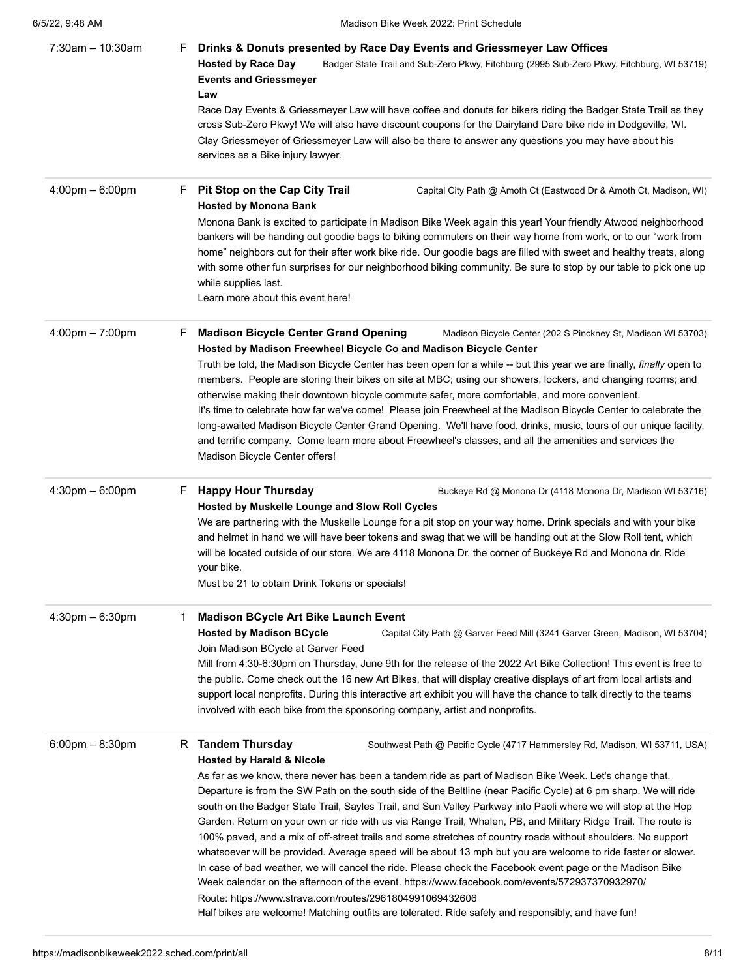| $7:30am - 10:30am$                | Drinks & Donuts presented by Race Day Events and Griessmeyer Law Offices<br>۲.<br><b>Hosted by Race Day</b><br>Badger State Trail and Sub-Zero Pkwy, Fitchburg (2995 Sub-Zero Pkwy, Fitchburg, WI 53719)<br><b>Events and Griessmeyer</b><br>Law<br>Race Day Events & Griessmeyer Law will have coffee and donuts for bikers riding the Badger State Trail as they<br>cross Sub-Zero Pkwy! We will also have discount coupons for the Dairyland Dare bike ride in Dodgeville, WI.<br>Clay Griessmeyer of Griessmeyer Law will also be there to answer any questions you may have about his<br>services as a Bike injury lawyer.                                                                                                                                                                                                                                                                                                                                                                                                                           |
|-----------------------------------|-----------------------------------------------------------------------------------------------------------------------------------------------------------------------------------------------------------------------------------------------------------------------------------------------------------------------------------------------------------------------------------------------------------------------------------------------------------------------------------------------------------------------------------------------------------------------------------------------------------------------------------------------------------------------------------------------------------------------------------------------------------------------------------------------------------------------------------------------------------------------------------------------------------------------------------------------------------------------------------------------------------------------------------------------------------|
| $4:00 \text{pm} - 6:00 \text{pm}$ | <b>Pit Stop on the Cap City Trail</b><br>Capital City Path @ Amoth Ct (Eastwood Dr & Amoth Ct, Madison, WI)<br>Н.<br><b>Hosted by Monona Bank</b><br>Monona Bank is excited to participate in Madison Bike Week again this year! Your friendly Atwood neighborhood<br>bankers will be handing out goodie bags to biking commuters on their way home from work, or to our "work from<br>home" neighbors out for their after work bike ride. Our goodie bags are filled with sweet and healthy treats, along<br>with some other fun surprises for our neighborhood biking community. Be sure to stop by our table to pick one up<br>while supplies last.<br>Learn more about this event here!                                                                                                                                                                                                                                                                                                                                                               |
| $4:00 \text{pm} - 7:00 \text{pm}$ | <b>Madison Bicycle Center Grand Opening</b><br>F.<br>Madison Bicycle Center (202 S Pinckney St, Madison WI 53703)<br>Hosted by Madison Freewheel Bicycle Co and Madison Bicycle Center<br>Truth be told, the Madison Bicycle Center has been open for a while -- but this year we are finally, finally open to<br>members. People are storing their bikes on site at MBC; using our showers, lockers, and changing rooms; and<br>otherwise making their downtown bicycle commute safer, more comfortable, and more convenient.<br>It's time to celebrate how far we've come! Please join Freewheel at the Madison Bicycle Center to celebrate the<br>long-awaited Madison Bicycle Center Grand Opening. We'll have food, drinks, music, tours of our unique facility,<br>and terrific company. Come learn more about Freewheel's classes, and all the amenities and services the<br>Madison Bicycle Center offers!                                                                                                                                        |
| $4:30$ pm $-6:00$ pm              | <b>Happy Hour Thursday</b><br>F.<br>Buckeye Rd @ Monona Dr (4118 Monona Dr, Madison WI 53716)<br>Hosted by Muskelle Lounge and Slow Roll Cycles<br>We are partnering with the Muskelle Lounge for a pit stop on your way home. Drink specials and with your bike<br>and helmet in hand we will have beer tokens and swag that we will be handing out at the Slow Roll tent, which<br>will be located outside of our store. We are 4118 Monona Dr, the corner of Buckeye Rd and Monona dr. Ride<br>your bike.<br>Must be 21 to obtain Drink Tokens or specials!                                                                                                                                                                                                                                                                                                                                                                                                                                                                                            |
| $4:30 \text{pm} - 6:30 \text{pm}$ | <b>Madison BCycle Art Bike Launch Event</b><br>1<br><b>Hosted by Madison BCycle</b><br>Capital City Path @ Garver Feed Mill (3241 Garver Green, Madison, WI 53704)<br>Join Madison BCycle at Garver Feed<br>Mill from 4:30-6:30pm on Thursday, June 9th for the release of the 2022 Art Bike Collection! This event is free to<br>the public. Come check out the 16 new Art Bikes, that will display creative displays of art from local artists and<br>support local nonprofits. During this interactive art exhibit you will have the chance to talk directly to the teams<br>involved with each bike from the sponsoring company, artist and nonprofits.                                                                                                                                                                                                                                                                                                                                                                                               |
| $6:00$ pm $- 8:30$ pm             | R Tandem Thursday<br>Southwest Path @ Pacific Cycle (4717 Hammersley Rd, Madison, WI 53711, USA)<br><b>Hosted by Harald &amp; Nicole</b><br>As far as we know, there never has been a tandem ride as part of Madison Bike Week. Let's change that.<br>Departure is from the SW Path on the south side of the Beltline (near Pacific Cycle) at 6 pm sharp. We will ride<br>south on the Badger State Trail, Sayles Trail, and Sun Valley Parkway into Paoli where we will stop at the Hop<br>Garden. Return on your own or ride with us via Range Trail, Whalen, PB, and Military Ridge Trail. The route is<br>100% paved, and a mix of off-street trails and some stretches of country roads without shoulders. No support<br>whatsoever will be provided. Average speed will be about 13 mph but you are welcome to ride faster or slower.<br>In case of bad weather, we will cancel the ride. Please check the Facebook event page or the Madison Bike<br>Week calendar on the afternoon of the event. https://www.facebook.com/events/572937370932970/ |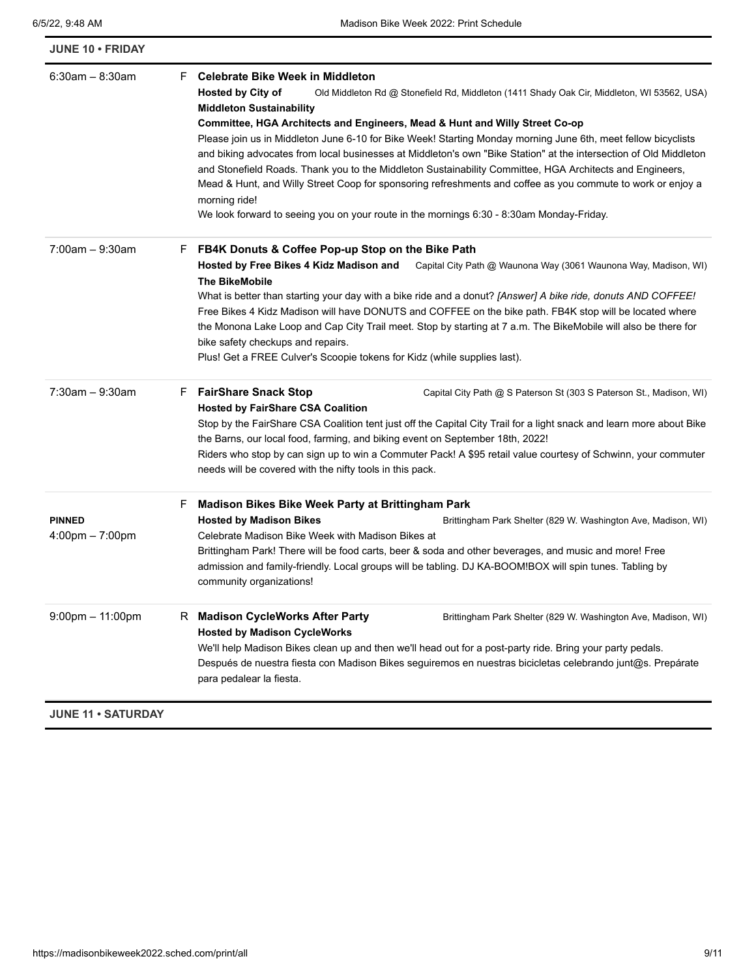| JUNE 10 · FRIDAY                                   |                                                                                                                                                                                                                                                                                                                                                                                                                                                                                                                                                                                                                                                                                                                                                                                                                                                              |  |
|----------------------------------------------------|--------------------------------------------------------------------------------------------------------------------------------------------------------------------------------------------------------------------------------------------------------------------------------------------------------------------------------------------------------------------------------------------------------------------------------------------------------------------------------------------------------------------------------------------------------------------------------------------------------------------------------------------------------------------------------------------------------------------------------------------------------------------------------------------------------------------------------------------------------------|--|
| $6:30$ am - 8:30am                                 | F Celebrate Bike Week in Middleton<br><b>Hosted by City of</b><br>Old Middleton Rd @ Stonefield Rd, Middleton (1411 Shady Oak Cir, Middleton, WI 53562, USA)<br><b>Middleton Sustainability</b><br>Committee, HGA Architects and Engineers, Mead & Hunt and Willy Street Co-op<br>Please join us in Middleton June 6-10 for Bike Week! Starting Monday morning June 6th, meet fellow bicyclists<br>and biking advocates from local businesses at Middleton's own "Bike Station" at the intersection of Old Middleton<br>and Stonefield Roads. Thank you to the Middleton Sustainability Committee, HGA Architects and Engineers,<br>Mead & Hunt, and Willy Street Coop for sponsoring refreshments and coffee as you commute to work or enjoy a<br>morning ride!<br>We look forward to seeing you on your route in the mornings 6:30 - 8:30am Monday-Friday. |  |
| $7:00$ am $-9:30$ am                               | FB4K Donuts & Coffee Pop-up Stop on the Bike Path<br>F.<br>Hosted by Free Bikes 4 Kidz Madison and<br>Capital City Path @ Waunona Way (3061 Waunona Way, Madison, WI)<br><b>The BikeMobile</b><br>What is better than starting your day with a bike ride and a donut? [Answer] A bike ride, donuts AND COFFEE!<br>Free Bikes 4 Kidz Madison will have DONUTS and COFFEE on the bike path. FB4K stop will be located where<br>the Monona Lake Loop and Cap City Trail meet. Stop by starting at 7 a.m. The BikeMobile will also be there for<br>bike safety checkups and repairs.<br>Plus! Get a FREE Culver's Scoopie tokens for Kidz (while supplies last).                                                                                                                                                                                                 |  |
| $7:30$ am - 9:30am                                 | F FairShare Snack Stop<br>Capital City Path @ S Paterson St (303 S Paterson St., Madison, WI)<br><b>Hosted by FairShare CSA Coalition</b><br>Stop by the FairShare CSA Coalition tent just off the Capital City Trail for a light snack and learn more about Bike<br>the Barns, our local food, farming, and biking event on September 18th, 2022!<br>Riders who stop by can sign up to win a Commuter Pack! A \$95 retail value courtesy of Schwinn, your commuter<br>needs will be covered with the nifty tools in this pack.                                                                                                                                                                                                                                                                                                                              |  |
| <b>PINNED</b><br>$4:00 \text{pm} - 7:00 \text{pm}$ | Madison Bikes Bike Week Party at Brittingham Park<br>F<br><b>Hosted by Madison Bikes</b><br>Brittingham Park Shelter (829 W. Washington Ave, Madison, WI)<br>Celebrate Madison Bike Week with Madison Bikes at<br>Brittingham Park! There will be food carts, beer & soda and other beverages, and music and more! Free<br>admission and family-friendly. Local groups will be tabling. DJ KA-BOOM!BOX will spin tunes. Tabling by<br>community organizations!                                                                                                                                                                                                                                                                                                                                                                                               |  |
| $9:00$ pm $-11:00$ pm                              | R Madison CycleWorks After Party<br>Brittingham Park Shelter (829 W. Washington Ave, Madison, WI)<br><b>Hosted by Madison CycleWorks</b><br>We'll help Madison Bikes clean up and then we'll head out for a post-party ride. Bring your party pedals.<br>Después de nuestra fiesta con Madison Bikes seguiremos en nuestras bicicletas celebrando junt@s. Prepárate<br>para pedalear la fiesta.                                                                                                                                                                                                                                                                                                                                                                                                                                                              |  |
| <b>JUNE 11 · SATURDAY</b>                          |                                                                                                                                                                                                                                                                                                                                                                                                                                                                                                                                                                                                                                                                                                                                                                                                                                                              |  |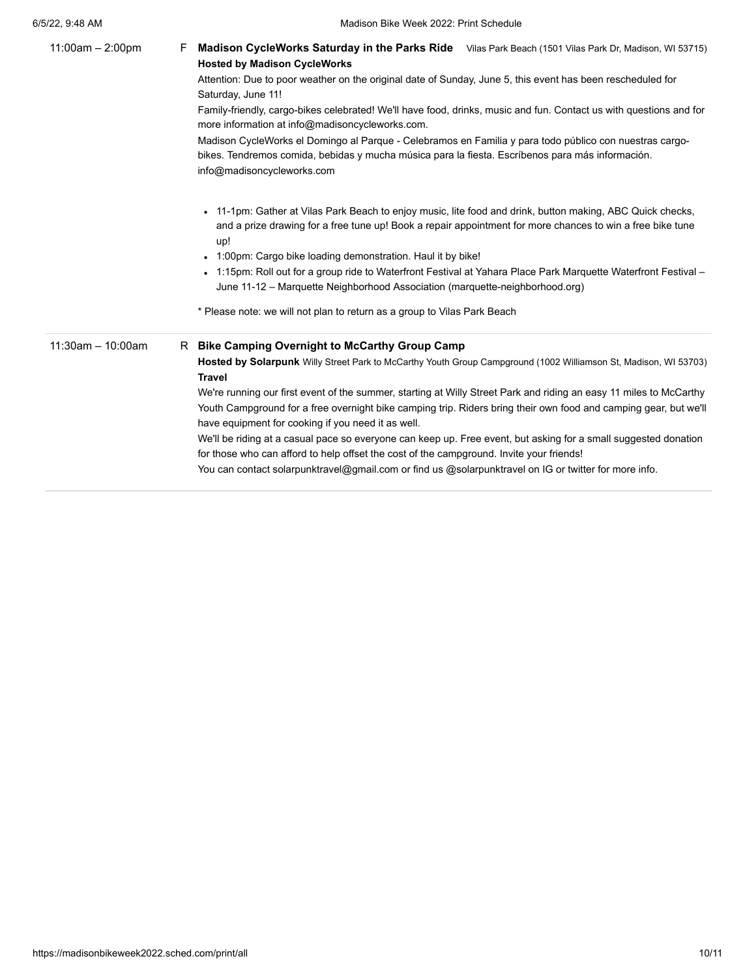| $11:00am - 2:00pm$   | Madison CycleWorks Saturday in the Parks Ride Vilas Park Beach (1501 Vilas Park Dr, Madison, WI 53715)<br>F<br><b>Hosted by Madison CycleWorks</b><br>Attention: Due to poor weather on the original date of Sunday, June 5, this event has been rescheduled for                                |
|----------------------|-------------------------------------------------------------------------------------------------------------------------------------------------------------------------------------------------------------------------------------------------------------------------------------------------|
|                      | Saturday, June 11!                                                                                                                                                                                                                                                                              |
|                      | Family-friendly, cargo-bikes celebrated! We'll have food, drinks, music and fun. Contact us with questions and for<br>more information at info@madisoncycleworks.com.                                                                                                                           |
|                      | Madison CycleWorks el Domingo al Parque - Celebramos en Familia y para todo público con nuestras cargo-<br>bikes. Tendremos comida, bebidas y mucha música para la fiesta. Escríbenos para más información.<br>info@madisoncycleworks.com                                                       |
|                      | • 11-1pm: Gather at Vilas Park Beach to enjoy music, lite food and drink, button making, ABC Quick checks,<br>and a prize drawing for a free tune up! Book a repair appointment for more chances to win a free bike tune<br>up!<br>• 1:00pm: Cargo bike loading demonstration. Haul it by bike! |
|                      | • 1:15pm: Roll out for a group ride to Waterfront Festival at Yahara Place Park Marquette Waterfront Festival –<br>June 11-12 - Marquette Neighborhood Association (marquette-neighborhood.org)                                                                                                 |
|                      | * Please note: we will not plan to return as a group to Vilas Park Beach                                                                                                                                                                                                                        |
| $11:30$ am - 10:00am | R Bike Camping Overnight to McCarthy Group Camp                                                                                                                                                                                                                                                 |
|                      | Hosted by Solarpunk Willy Street Park to McCarthy Youth Group Campground (1002 Williamson St, Madison, WI 53703)<br><b>Travel</b>                                                                                                                                                               |
|                      | We're running our first event of the summer, starting at Willy Street Park and riding an easy 11 miles to McCarthy                                                                                                                                                                              |
|                      | Youth Campground for a free overnight bike camping trip. Riders bring their own food and camping gear, but we'll<br>have equipment for cooking if you need it as well.                                                                                                                          |
|                      | We'll be riding at a casual pace so everyone can keep up. Free event, but asking for a small suggested donation<br>for those who can afford to help offset the cost of the campground. Invite your friends!                                                                                     |
|                      | You can contact solarpunktravel@gmail.com or find us @solarpunktravel on IG or twitter for more info.                                                                                                                                                                                           |